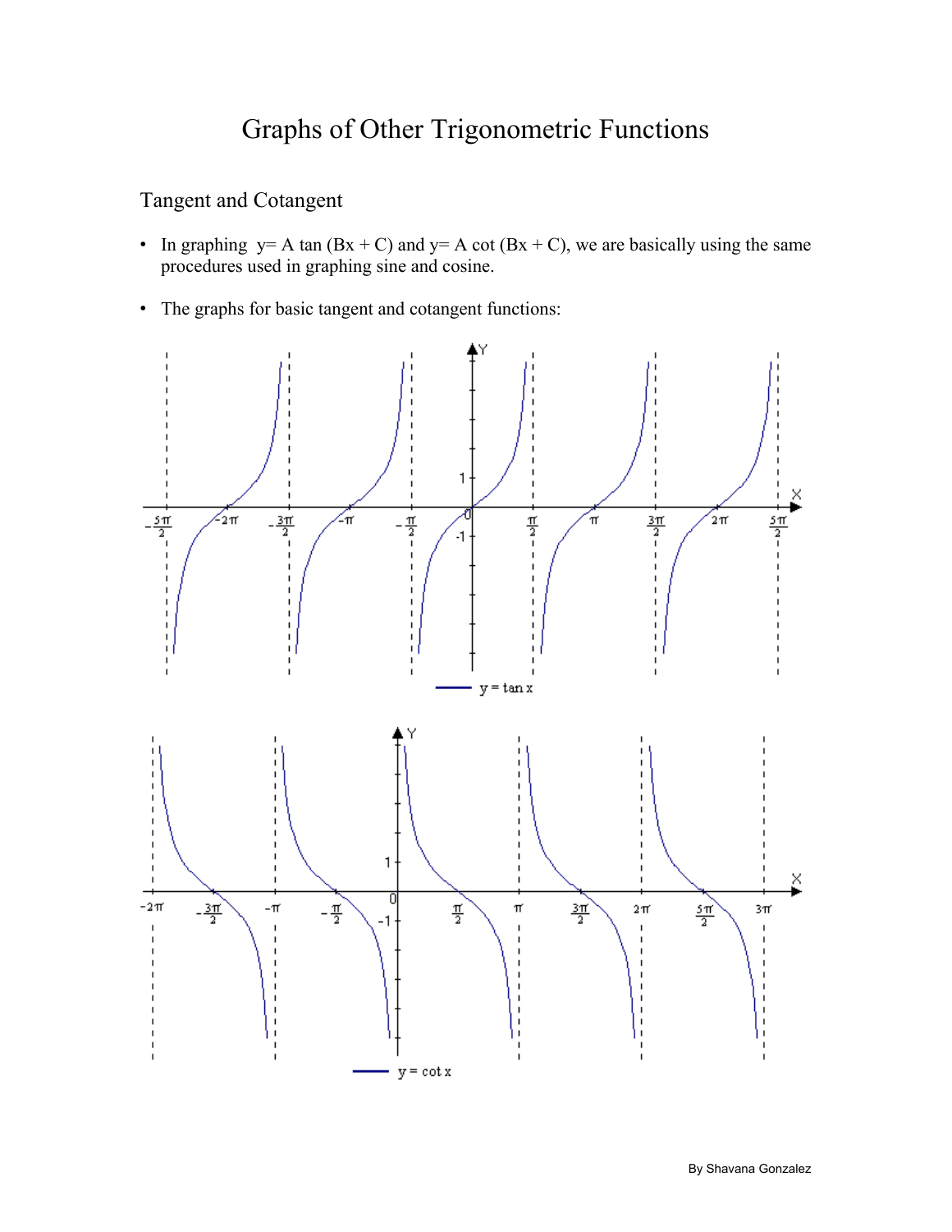# Graphs of Other Trigonometric Functions

# Tangent and Cotangent

- In graphing  $y = A \tan(Bx + C)$  and  $y = A \cot(Bx + C)$ , we are basically using the same procedures used in graphing sine and cosine.
- The graphs for basic tangent and cotangent functions:

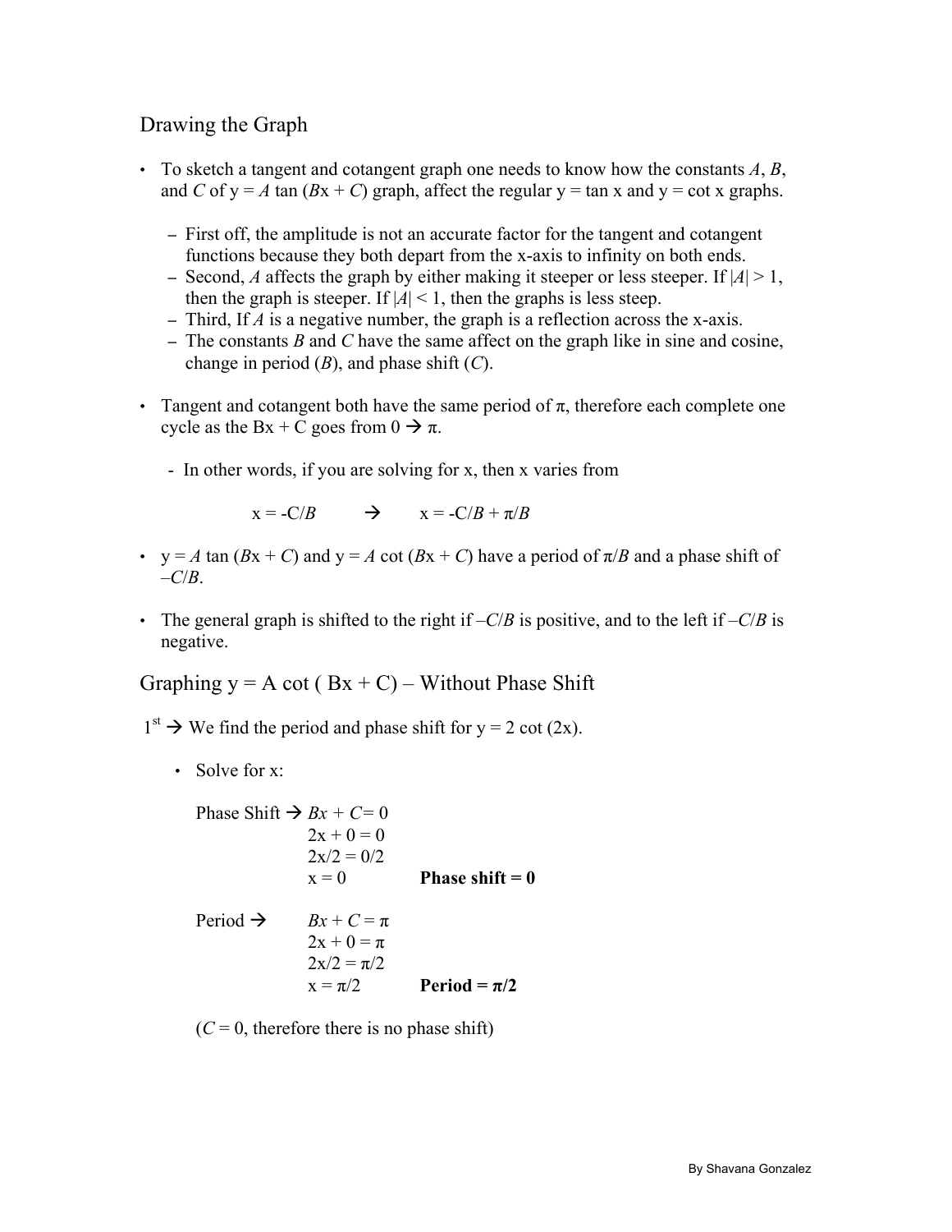# Drawing the Graph

- To sketch a tangent and cotangent graph one needs to know how the constants *A*, *B*, and *C* of  $y = A \tan(Bx + C)$  graph, affect the regular  $y = \tan x$  and  $y = \cot x$  graphs.
	- First off, the amplitude is not an accurate factor for the tangent and cotangent functions because they both depart from the x-axis to infinity on both ends.
	- Second, *A* affects the graph by either making it steeper or less steeper. If  $|A| > 1$ , then the graph is steeper. If  $|A| < 1$ , then the graphs is less steep.
	- Third, If *A* is a negative number, the graph is a reflection across the x-axis.
	- The constants *B* and *C* have the same affect on the graph like in sine and cosine, change in period (*B*), and phase shift (*C*).
- Tangent and cotangent both have the same period of  $\pi$ , therefore each complete one cycle as the Bx + C goes from  $0 \rightarrow \pi$ .
	- In other words, if you are solving for x, then x varies from

$$
x = -C/B \qquad \Rightarrow \qquad x = -C/B + \pi/B
$$

- $y = A \tan(Bx + C)$  and  $y = A \cot(Bx + C)$  have a period of  $\pi/B$  and a phase shift of  $-C/B$ .
- The general graph is shifted to the right if  $-C/B$  is positive, and to the left if  $-C/B$  is negative.

Graphing  $y = A \cot (Bx + C) - W$  ithout Phase Shift

- $1<sup>st</sup> \rightarrow$  We find the period and phase shift for y = 2 cot (2x).
	- Solve for x:

Phase Shift 
$$
\rightarrow Bx + C = 0
$$
  
\n $2x + 0 = 0$   
\n $2x/2 = 0/2$   
\n $x = 0$  Phase shift = 0  
\nPeriod  $\rightarrow$   $Bx + C = \pi$   
\n $2x + 0 = \pi$   
\n $2x/2 = \pi/2$   
\n $x = \pi/2$  Period =  $\pi/2$ 

 $(C = 0$ , therefore there is no phase shift)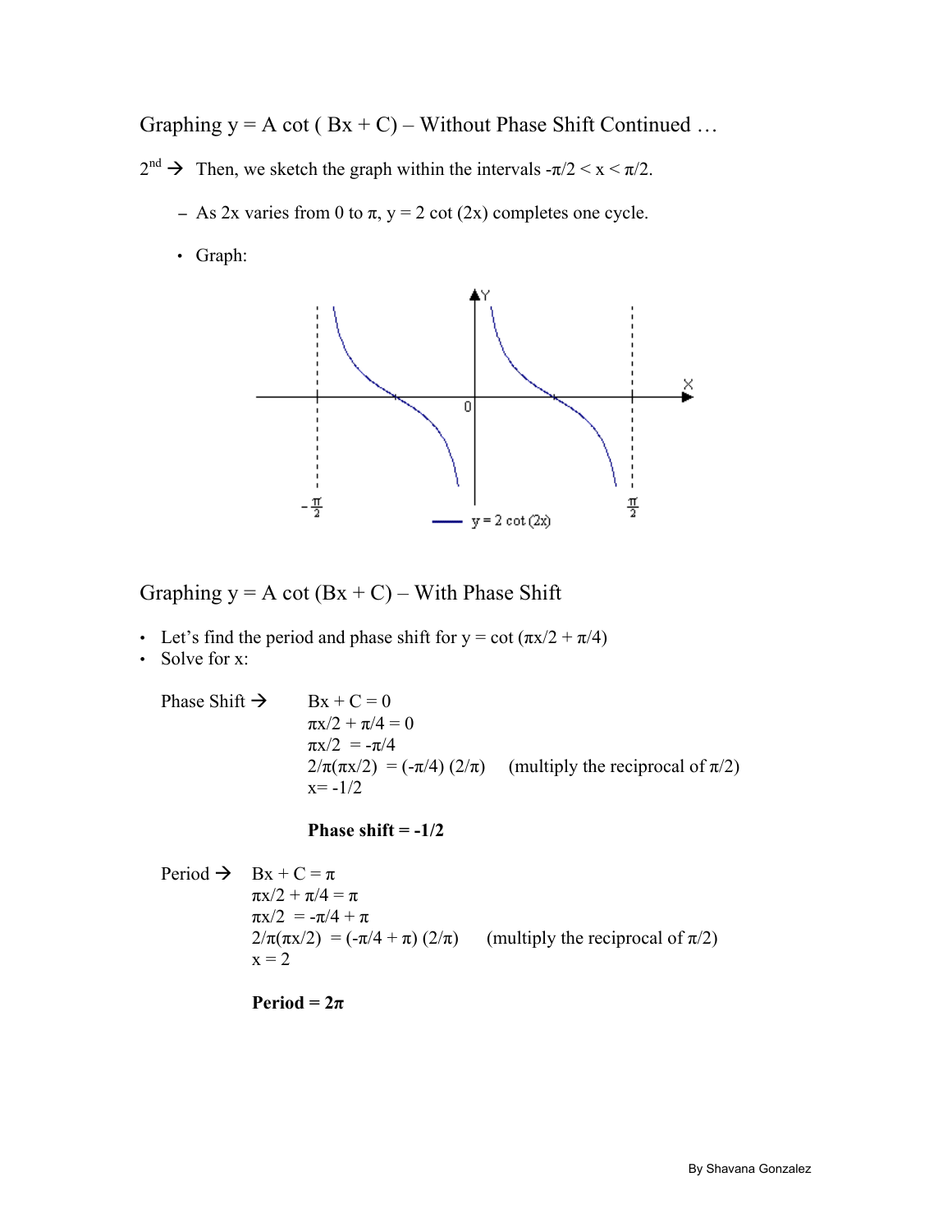Graphing  $y = A \cot (Bx + C) - W$ ithout Phase Shift Continued ...

- $2^{nd} \rightarrow$  Then, we sketch the graph within the intervals  $-\pi/2 < x < \pi/2$ .
	- As 2x varies from 0 to  $\pi$ ,  $y = 2 \cot(2x)$  completes one cycle.
	- Graph:



Graphing  $y = A \cot(Bx + C) -$  With Phase Shift

- Let's find the period and phase shift for  $y = \cot(\pi x/2 + \pi/4)$
- Solve for x:

Phase Shift  $\rightarrow$  Bx + C = 0

 $\pi x/2 + \pi/4 = 0$  $\pi x/2 = -\pi/4$  $2/\pi(\pi x/2) = (-\pi/4) (2/\pi)$  (multiply the reciprocal of  $\pi/2$ )  $x = -1/2$ 

**Phase shift = -1/2** 

Period  $\rightarrow$  Bx + C =  $\pi$  $πx/2 + π/4 = π$  πx/2 = -π/4 + π  $2/\pi(\pi x/2) = (-\pi/4 + \pi) (2/\pi)$  (multiply the reciprocal of  $\pi/2$ )  $x = 2$ 

**Period =**  $2\pi$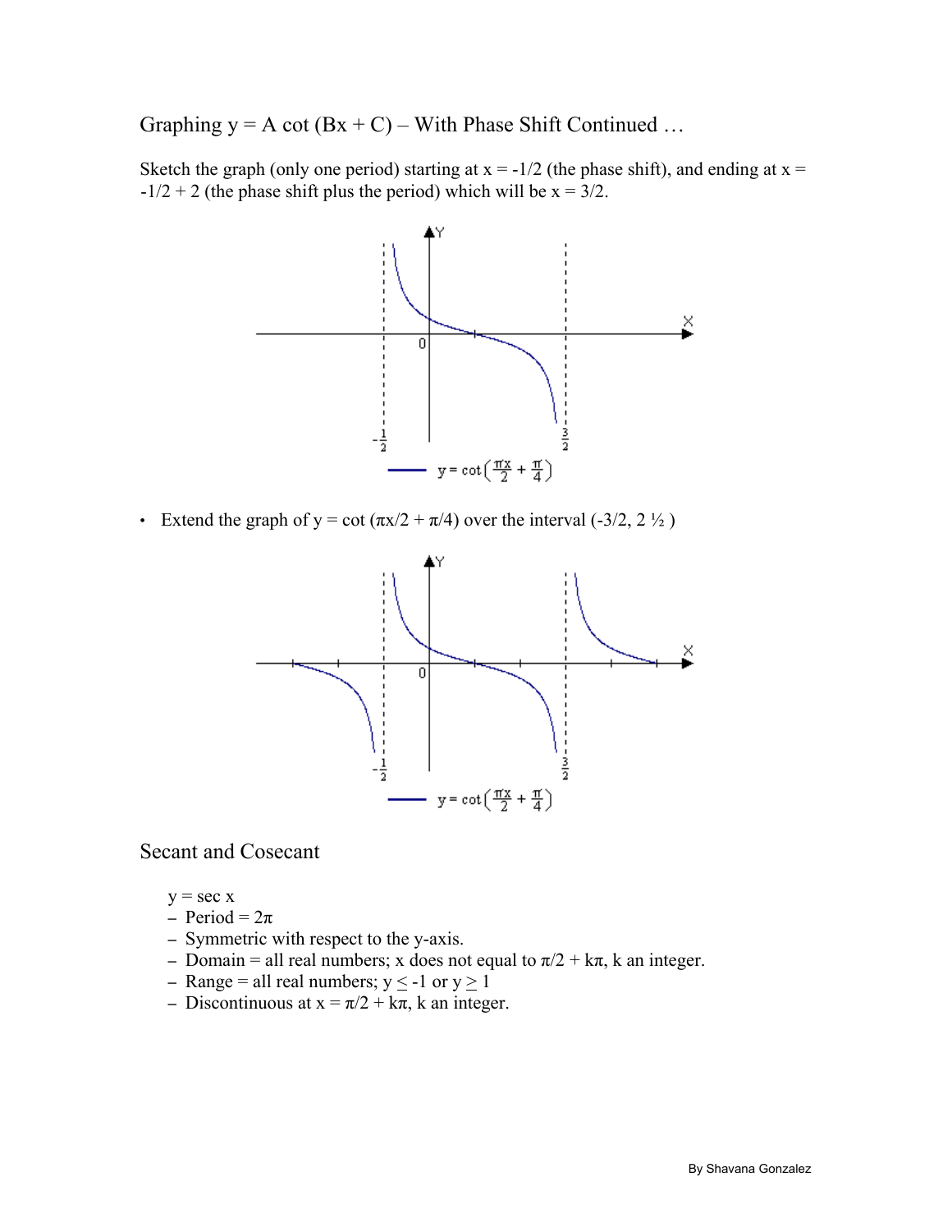Graphing  $y = A \cot(Bx + C) - W$ ith Phase Shift Continued ...

Sketch the graph (only one period) starting at  $x = -1/2$  (the phase shift), and ending at  $x =$  $-1/2 + 2$  (the phase shift plus the period) which will be  $x = 3/2$ .



• Extend the graph of y = cot  $(\pi x/2 + \pi/4)$  over the interval (-3/2, 2  $\frac{1}{2}$ )



#### Secant and Cosecant

- $y = \sec x$
- Period =  $2\pi$
- Symmetric with respect to the y-axis.
- Domain = all real numbers; x does not equal to  $\pi/2 + k\pi$ , k an integer.
- Range = all real numbers;  $y \le -1$  or  $y \ge 1$
- Discontinuous at  $x = \pi/2 + k\pi$ , k an integer.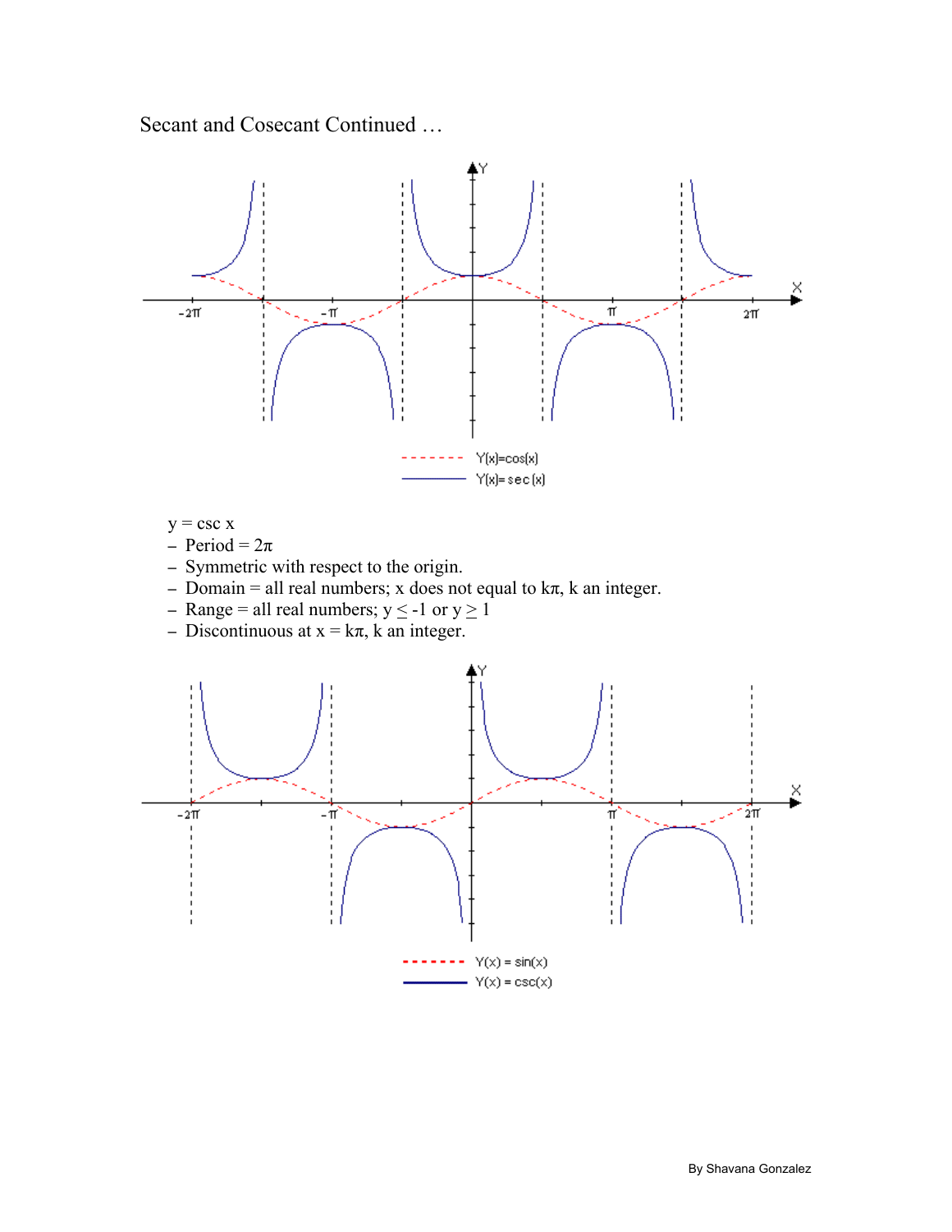Secant and Cosecant Continued …



- $y = \csc x$
- $-$  Period =  $2\pi$
- Symmetric with respect to the origin.
- Domain = all real numbers; x does not equal to  $k\pi$ , k an integer.
- Range = all real numbers;  $y \le -1$  or  $y \ge 1$
- Discontinuous at  $x = k\pi$ , k an integer.

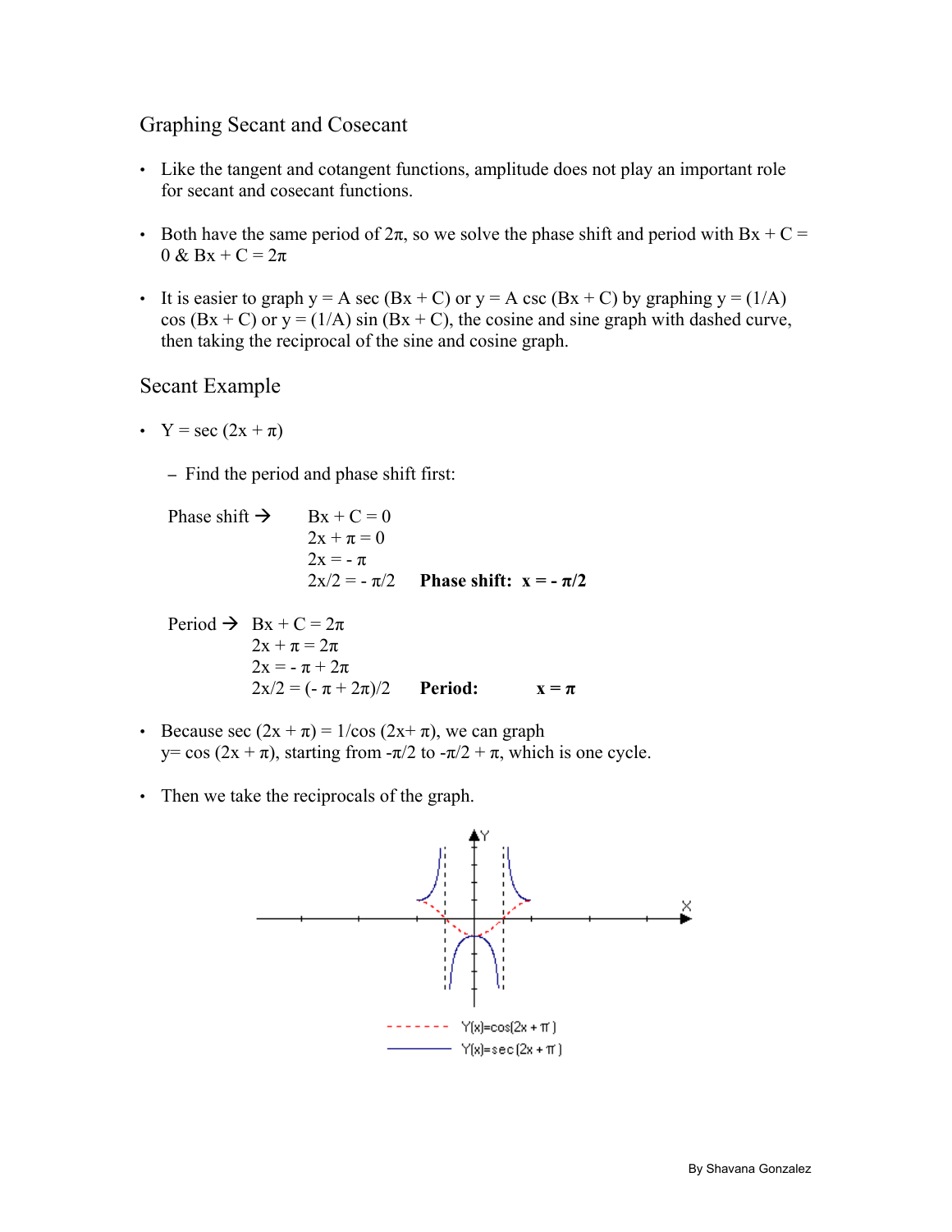## Graphing Secant and Cosecant

- Like the tangent and cotangent functions, amplitude does not play an important role for secant and cosecant functions.
- Both have the same period of  $2\pi$ , so we solve the phase shift and period with Bx + C =  $0 & Bx + C = 2\pi$
- It is easier to graph  $y = A \sec(Bx + C)$  or  $y = A \csc(Bx + C)$  by graphing  $y = (1/A)$  $\cos(Bx + C)$  or  $y = (1/A) \sin(Bx + C)$ , the cosine and sine graph with dashed curve, then taking the reciprocal of the sine and cosine graph.

## Secant Example

•  $Y = \sec(2x + \pi)$ 

– Find the period and phase shift first:

Phase shift  $\rightarrow$  Bx + C = 0  $2x + \pi = 0$  $2x = -\pi$  $2x/2 = -\pi/2$  **Phase shift:**  $x = -\pi/2$ 

Period  $\rightarrow Bx + C = 2\pi$  $2x + \pi = 2\pi$  $2x = -\pi + 2\pi$  $2x/2 = (-\pi + 2\pi)/2$  **Period:**  $x = \pi$ 

- Because sec  $(2x + \pi) = 1/\cos(2x + \pi)$ , we can graph y= cos (2x + π), starting from  $-\pi/2$  to  $-\pi/2 + \pi$ , which is one cycle.
- Then we take the reciprocals of the graph.